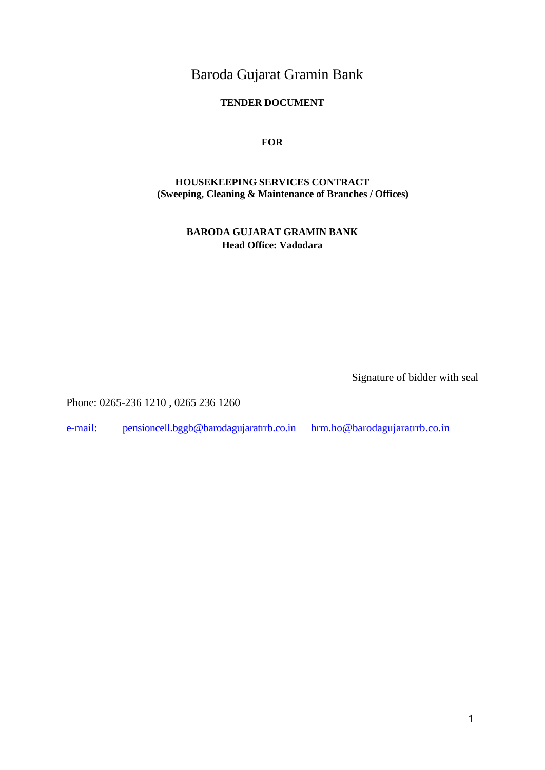Baroda Gujarat Gramin Bank

# **TENDER DOCUMENT**

**FOR**

# **HOUSEKEEPING SERVICES CONTRACT (Sweeping, Cleaning & Maintenance of Branches / Offices)**

**BARODA GUJARAT GRAMIN BANK Head Office: Vadodara**

Signature of bidder with seal

Phone: 0265-236 1210 , 0265 236 1260

[e-mail:](mailto:%20hrm.ho@barodagujaratrrb.co.in) pensioncell.bggb@barodagujaratrrb.co.in [hrm.ho@barodagujaratrrb.co.in](mailto:%20hrm.ho@barodagujaratrrb.co.in)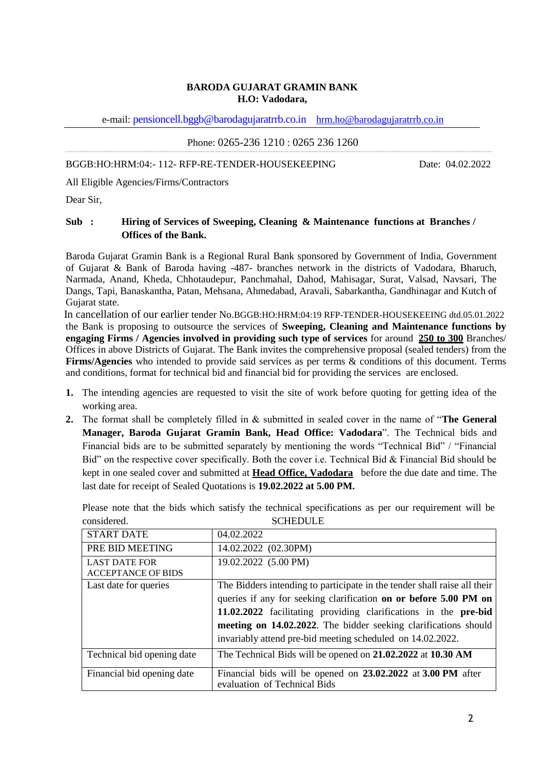#### **BARODA GUJARAT GRAMIN BANK H.O: Vadodara,**

e-mail: pensioncell.bggb@barodagujaratrrb.co.in [hrm.ho@barodagujaratrrb.co.in](mailto:hrm.ho@barodagujaratrrb.co.in)

Phone: 0265-236 1210 : 0265 236 1260

BGGB:HO:HRM:04:- 112- RFP-RE-TENDER-HOUSEKEEPING Date: 04.02.2022

All Eligible Agencies/Firms/Contractors

Dear Sir,

### **Sub : Hiring of Services of Sweeping, Cleaning & Maintenance functions at Branches / Offices of the Bank.**

Baroda Gujarat Gramin Bank is a Regional Rural Bank sponsored by Government of India, Government of Gujarat & Bank of Baroda having -487- branches network in the districts of Vadodara, Bharuch, Narmada, Anand, Kheda, Chhotaudepur, Panchmahal, Dahod, Mahisagar, Surat, Valsad, Navsari, The Dangs, Tapi, Banaskantha, Patan, Mehsana, Ahmedabad, Aravali, Sabarkantha, Gandhinagar and Kutch of Gujarat state.

 In cancellation of our earlier tender No.BGGB:HO:HRM:04:19 RFP-TENDER-HOUSEKEEING dtd.05.01.2022 the Bank is proposing to outsource the services of **Sweeping, Cleaning and Maintenance functions by engaging Firms / Agencies involved in providing such type of services** for around **250 to 300** Branches/ Offices in above Districts of Gujarat. The Bank invites the comprehensive proposal (sealed tenders) from the **Firms/Agencies** who intended to provide said services as per terms & conditions of this document. Terms and conditions, format for technical bid and financial bid for providing the services are enclosed.

- **1.** The intending agencies are requested to visit the site of work before quoting for getting idea of the working area.
- **2.** The format shall be completely filled in & submitted in sealed cover in the name of "**The General Manager, Baroda Gujarat Gramin Bank, Head Office: Vadodara**". The Technical bids and Financial bids are to be submitted separately by mentioning the words "Technical Bid" / "Financial Bid" on the respective cover specifically. Both the cover i.e. Technical Bid & Financial Bid should be kept in one sealed cover and submitted at **Head Office, Vadodara** before the due date and time. The last date for receipt of Sealed Quotations is **19.02.2022 at 5.00 PM.**

Please note that the bids which satisfy the technical specifications as per our requirement will be considered. SCHEDULE

| <b>START DATE</b>          | 04.02.2022                                                                                   |
|----------------------------|----------------------------------------------------------------------------------------------|
| PRE BID MEETING            | 14.02.2022 (02.30PM)                                                                         |
| <b>LAST DATE FOR</b>       | 19.02.2022 (5.00 PM)                                                                         |
| <b>ACCEPTANCE OF BIDS</b>  |                                                                                              |
| Last date for queries      | The Bidders intending to participate in the tender shall raise all their                     |
|                            | queries if any for seeking clarification on or before 5.00 PM on                             |
|                            | 11.02.2022 facilitating providing clarifications in the pre-bid                              |
|                            | meeting on 14.02.2022. The bidder seeking clarifications should                              |
|                            | invariably attend pre-bid meeting scheduled on 14.02.2022.                                   |
| Technical bid opening date | The Technical Bids will be opened on 21.02.2022 at 10.30 AM                                  |
| Financial bid opening date | Financial bids will be opened on 23.02.2022 at 3.00 PM after<br>evaluation of Technical Bids |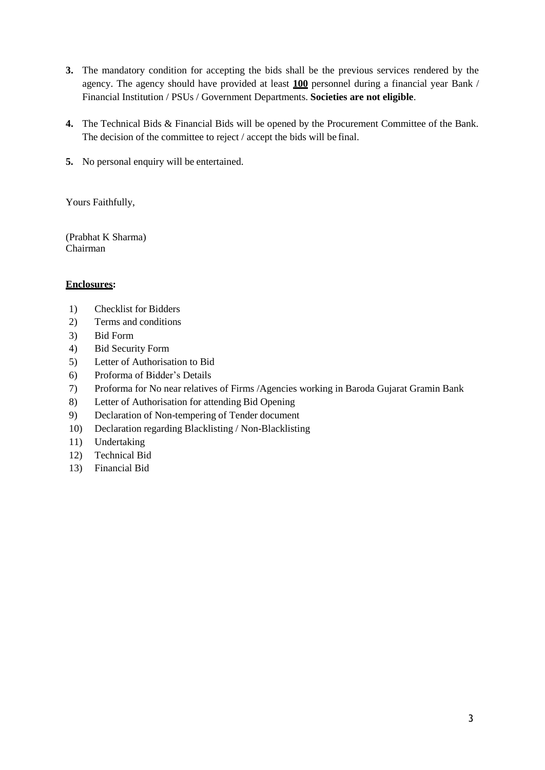- **3.** The mandatory condition for accepting the bids shall be the previous services rendered by the agency. The agency should have provided at least **100** personnel during a financial year Bank / Financial Institution / PSUs / Government Departments. **Societies are not eligible**.
- **4.** The Technical Bids & Financial Bids will be opened by the Procurement Committee of the Bank. The decision of the committee to reject / accept the bids will be final.
- **5.** No personal enquiry will be entertained.

Yours Faithfully,

(Prabhat K Sharma) Chairman

### **Enclosures:**

- 1) Checklist for Bidders
- 2) Terms and conditions
- 3) Bid Form
- 4) Bid Security Form
- 5) Letter of Authorisation to Bid
- 6) Proforma of Bidder's Details
- 7) Proforma for No near relatives of Firms /Agencies working in Baroda Gujarat Gramin Bank
- 8) Letter of Authorisation for attending Bid Opening
- 9) Declaration of Non-tempering of Tender document
- 10) Declaration regarding Blacklisting / Non-Blacklisting
- 11) Undertaking
- 12) Technical Bid
- 13) Financial Bid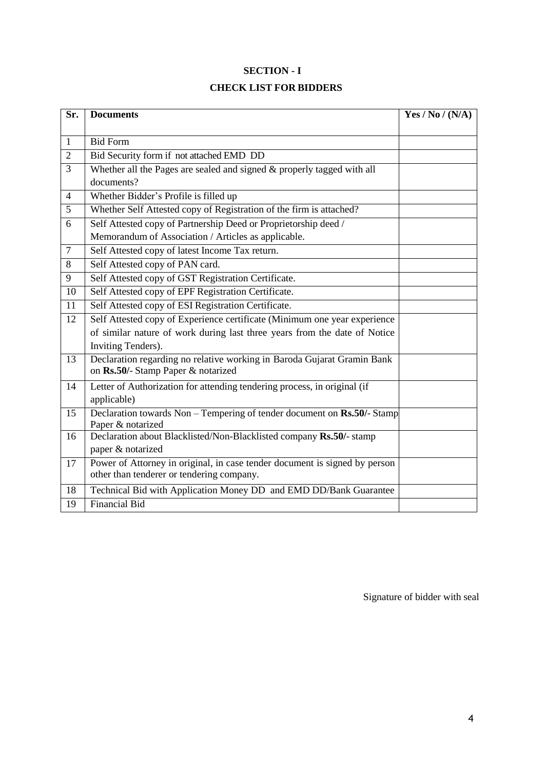# **SECTION - I**

# **CHECK LIST FOR BIDDERS**

| $\overline{\text{Sr.}}$ | <b>Documents</b>                                                                                                        | Yes / No / (N/A) |  |  |
|-------------------------|-------------------------------------------------------------------------------------------------------------------------|------------------|--|--|
|                         |                                                                                                                         |                  |  |  |
| $\mathbf{1}$            | <b>Bid Form</b>                                                                                                         |                  |  |  |
| $\overline{2}$          | Bid Security form if not attached EMD DD                                                                                |                  |  |  |
| $\overline{3}$          | Whether all the Pages are sealed and signed & properly tagged with all                                                  |                  |  |  |
|                         | documents?                                                                                                              |                  |  |  |
| $\overline{4}$          | Whether Bidder's Profile is filled up                                                                                   |                  |  |  |
| 5                       | Whether Self Attested copy of Registration of the firm is attached?                                                     |                  |  |  |
| 6                       | Self Attested copy of Partnership Deed or Proprietorship deed /                                                         |                  |  |  |
|                         | Memorandum of Association / Articles as applicable.                                                                     |                  |  |  |
| $\overline{7}$          | Self Attested copy of latest Income Tax return.                                                                         |                  |  |  |
| 8                       | Self Attested copy of PAN card.                                                                                         |                  |  |  |
| 9                       | Self Attested copy of GST Registration Certificate.                                                                     |                  |  |  |
| 10                      | Self Attested copy of EPF Registration Certificate.                                                                     |                  |  |  |
| 11                      | Self Attested copy of ESI Registration Certificate.                                                                     |                  |  |  |
| 12                      | Self Attested copy of Experience certificate (Minimum one year experience                                               |                  |  |  |
|                         | of similar nature of work during last three years from the date of Notice                                               |                  |  |  |
|                         | <b>Inviting Tenders</b> ).                                                                                              |                  |  |  |
| 13                      | Declaration regarding no relative working in Baroda Gujarat Gramin Bank<br>on Rs.50/- Stamp Paper & notarized           |                  |  |  |
| 14                      | Letter of Authorization for attending tendering process, in original (if<br>applicable)                                 |                  |  |  |
| 15                      | Declaration towards Non - Tempering of tender document on Rs.50/- Stamp<br>Paper & notarized                            |                  |  |  |
| 16                      | Declaration about Blacklisted/Non-Blacklisted company Rs.50/- stamp<br>paper & notarized                                |                  |  |  |
| 17                      | Power of Attorney in original, in case tender document is signed by person<br>other than tenderer or tendering company. |                  |  |  |
| 18                      | Technical Bid with Application Money DD and EMD DD/Bank Guarantee                                                       |                  |  |  |
| 19                      | <b>Financial Bid</b>                                                                                                    |                  |  |  |

Signature of bidder with seal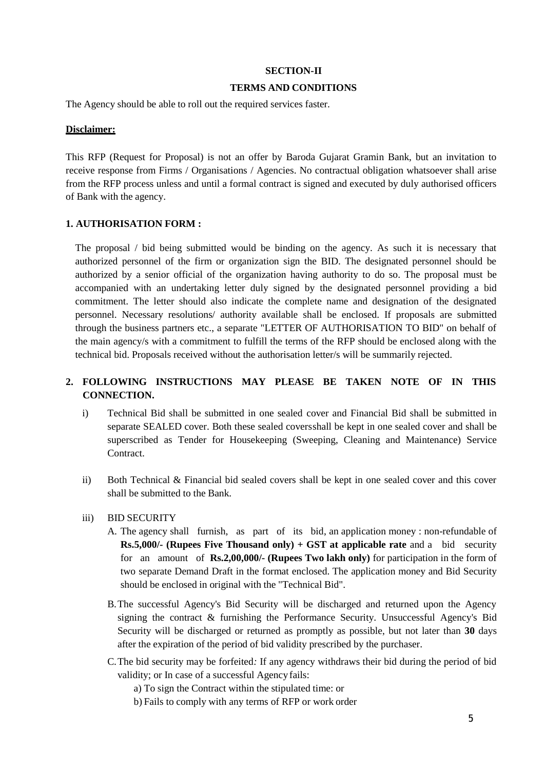#### **SECTION-II**

#### **TERMS AND CONDITIONS**

The Agency should be able to roll out the required services faster.

#### **Disclaimer:**

This RFP (Request for Proposal) is not an offer by Baroda Gujarat Gramin Bank, but an invitation to receive response from Firms / Organisations / Agencies. No contractual obligation whatsoever shall arise from the RFP process unless and until a formal contract is signed and executed by duly authorised officers of Bank with the agency.

#### **1. AUTHORISATION FORM :**

The proposal / bid being submitted would be binding on the agency. As such it is necessary that authorized personnel of the firm or organization sign the BID. The designated personnel should be authorized by a senior official of the organization having authority to do so. The proposal must be accompanied with an undertaking letter duly signed by the designated personnel providing a bid commitment. The letter should also indicate the complete name and designation of the designated personnel. Necessary resolutions/ authority available shall be enclosed. If proposals are submitted through the business partners etc., a separate "LETTER OF AUTHORISATION TO BID" on behalf of the main agency/s with a commitment to fulfill the terms of the RFP should be enclosed along with the technical bid. Proposals received without the authorisation letter/s will be summarily rejected.

# **2. FOLLOWING INSTRUCTIONS MAY PLEASE BE TAKEN NOTE OF IN THIS CONNECTION.**

- i) Technical Bid shall be submitted in one sealed cover and Financial Bid shall be submitted in separate SEALED cover. Both these sealed coversshall be kept in one sealed cover and shall be superscribed as Tender for Housekeeping (Sweeping, Cleaning and Maintenance) Service **Contract**
- ii) Both Technical & Financial bid sealed covers shall be kept in one sealed cover and this cover shall be submitted to the Bank.
- iii) BID SECURITY
	- A. The agency shall furnish, as part of its bid, an application money : non-refundable of **Rs.5,000/- (Rupees Five Thousand only) + GST at applicable rate** and a bid security for an amount of **Rs.2,00,000/- (Rupees Two lakh only)** for participation in the form of two separate Demand Draft in the format enclosed. The application money and Bid Security should be enclosed in original with the "Technical Bid".
	- B.The successful Agency's Bid Security will be discharged and returned upon the Agency signing the contract & furnishing the Performance Security. Unsuccessful Agency's Bid Security will be discharged or returned as promptly as possible, but not later than **30** days after the expiration of the period of bid validity prescribed by the purchaser.
	- C.The bid security may be forfeited*:* If any agency withdraws their bid during the period of bid validity; or In case of a successful Agency fails:
		- a) To sign the Contract within the stipulated time: or
		- b) Fails to comply with any terms of RFP or work order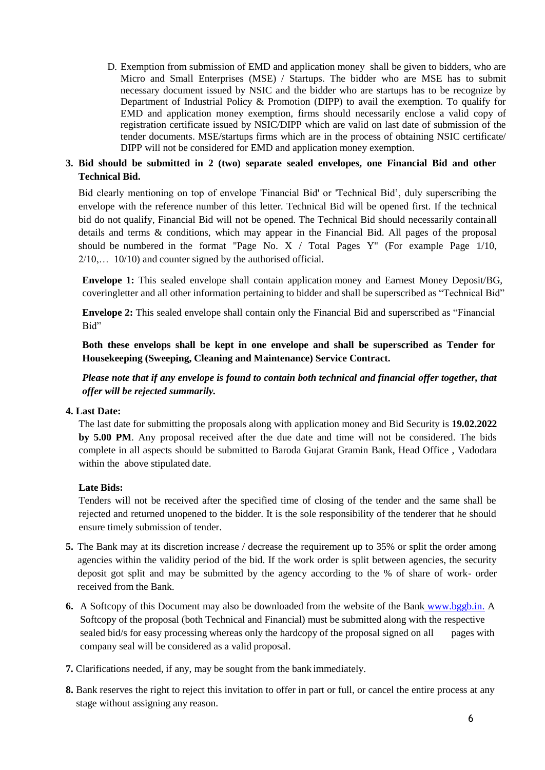D. Exemption from submission of EMD and application money shall be given to bidders, who are Micro and Small Enterprises (MSE) / Startups. The bidder who are MSE has to submit necessary document issued by NSIC and the bidder who are startups has to be recognize by Department of Industrial Policy & Promotion (DIPP) to avail the exemption. To qualify for EMD and application money exemption, firms should necessarily enclose a valid copy of registration certificate issued by NSIC/DIPP which are valid on last date of submission of the tender documents. MSE/startups firms which are in the process of obtaining NSIC certificate/ DIPP will not be considered for EMD and application money exemption.

# **3. Bid should be submitted in 2 (two) separate sealed envelopes, one Financial Bid and other Technical Bid.**

Bid clearly mentioning on top of envelope 'Financial Bid' or 'Technical Bid', duly superscribing the envelope with the reference number of this letter. Technical Bid will be opened first. If the technical bid do not qualify, Financial Bid will not be opened. The Technical Bid should necessarily containall details and terms & conditions, which may appear in the Financial Bid. All pages of the proposal should be numbered in the format "Page No.  $X /$  Total Pages Y" (For example Page  $1/10$ , 2/10,… 10/10) and counter signed by the authorised official.

**Envelope 1:** This sealed envelope shall contain application money and Earnest Money Deposit/BG, coveringletter and all other information pertaining to bidder and shall be superscribed as "Technical Bid"

**Envelope 2:** This sealed envelope shall contain only the Financial Bid and superscribed as "Financial Bid"

**Both these envelops shall be kept in one envelope and shall be superscribed as Tender for Housekeeping (Sweeping, Cleaning and Maintenance) Service Contract.**

*Please note that if any envelope is found to contain both technical and financial offer together, that offer will be rejected summarily.*

#### **4. Last Date:**

The last date for submitting the proposals along with application money and Bid Security is **19.02.2022 by 5.00 PM**. Any proposal received after the due date and time will not be considered. The bids complete in all aspects should be submitted to Baroda Gujarat Gramin Bank, Head Office , Vadodara within the above stipulated date.

### **Late Bids:**

Tenders will not be received after the specified time of closing of the tender and the same shall be rejected and returned unopened to the bidder. It is the sole responsibility of the tenderer that he should ensure timely submission of tender.

- **5.** The Bank may at its discretion increase / decrease the requirement up to 35% or split the order among agencies within the validity period of the bid. If the work order is split between agencies, the security deposit got split and may be submitted by the agency according to the % of share of work- order received from the Bank.
- **6.** A Softcopy of this Document may also be downloaded from the website of the Bank [www.bggb.in.](http://www.bggb.in/) A Softcopy of the proposal (both Technical and Financial) must be submitted along with the respective sealed bid/s for easy processing whereas only the hardcopy of the proposal signed on all pages with company seal will be considered as a valid proposal.
- **7.** Clarifications needed, if any, may be sought from the bank immediately.
- **8.** Bank reserves the right to reject this invitation to offer in part or full, or cancel the entire process at any stage without assigning any reason.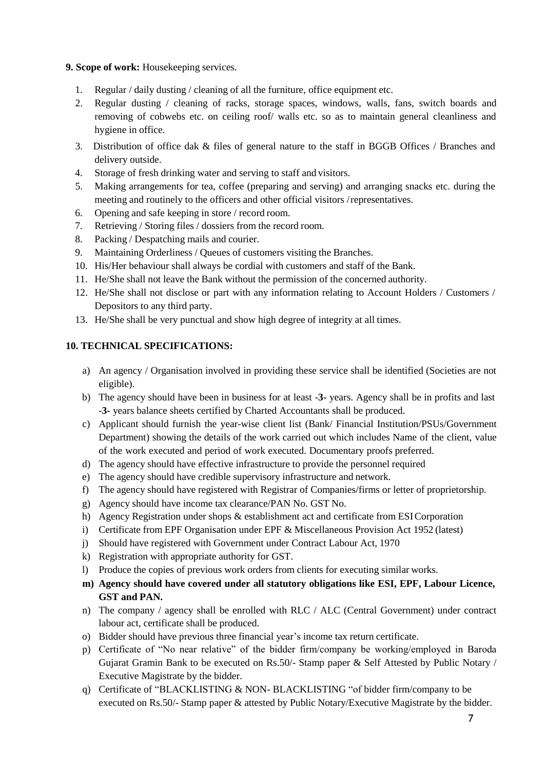### **9. Scope of work:** Housekeeping services.

- 1. Regular / daily dusting / cleaning of all the furniture, office equipment etc.
- 2. Regular dusting / cleaning of racks, storage spaces, windows, walls, fans, switch boards and removing of cobwebs etc. on ceiling roof/ walls etc. so as to maintain general cleanliness and hygiene in office.
- 3. Distribution of office dak & files of general nature to the staff in BGGB Offices / Branches and delivery outside.
- 4. Storage of fresh drinking water and serving to staff and visitors.
- 5. Making arrangements for tea, coffee (preparing and serving) and arranging snacks etc. during the meeting and routinely to the officers and other official visitors /representatives.
- 6. Opening and safe keeping in store / record room.
- 7. Retrieving / Storing files / dossiers from the record room.
- 8. Packing / Despatching mails and courier.
- 9. Maintaining Orderliness / Queues of customers visiting the Branches.
- 10. His/Her behaviour shall always be cordial with customers and staff of the Bank.
- 11. He/She shall not leave the Bank without the permission of the concerned authority.
- 12. He/She shall not disclose or part with any information relating to Account Holders / Customers / Depositors to any third party.
- 13. He/She shall be very punctual and show high degree of integrity at all times.

# **10. TECHNICAL SPECIFICATIONS:**

- a) An agency / Organisation involved in providing these service shall be identified (Societies are not eligible).
- b) The agency should have been in business for at least -**3-** years. Agency shall be in profits and last -**3-** years balance sheets certified by Charted Accountants shall be produced.
- c) Applicant should furnish the year-wise client list (Bank/ Financial Institution/PSUs/Government Department) showing the details of the work carried out which includes Name of the client, value of the work executed and period of work executed. Documentary proofs preferred.
- d) The agency should have effective infrastructure to provide the personnel required
- e) The agency should have credible supervisory infrastructure and network.
- f) The agency should have registered with Registrar of Companies/firms or letter of proprietorship.
- g) Agency should have income tax clearance/PAN No. GST No.
- h) Agency Registration under shops & establishment act and certificate from ESICorporation
- i) Certificate from EPF Organisation under EPF & Miscellaneous Provision Act 1952 (latest)
- j) Should have registered with Government under Contract Labour Act, 1970
- k) Registration with appropriate authority for GST.
- l) Produce the copies of previous work orders from clients for executing similar works.
- **m) Agency should have covered under all statutory obligations like ESI, EPF, Labour Licence, GST and PAN.**
- n) The company / agency shall be enrolled with RLC / ALC (Central Government) under contract labour act, certificate shall be produced.
- o) Bidder should have previous three financial year's income tax return certificate.
- p) Certificate of "No near relative" of the bidder firm/company be working/employed in Baroda Gujarat Gramin Bank to be executed on Rs.50/- Stamp paper & Self Attested by Public Notary / Executive Magistrate by the bidder.
- q) Certificate of "BLACKLISTING & NON- BLACKLISTING "of bidder firm/company to be executed on Rs.50/- Stamp paper & attested by Public Notary/Executive Magistrate by the bidder.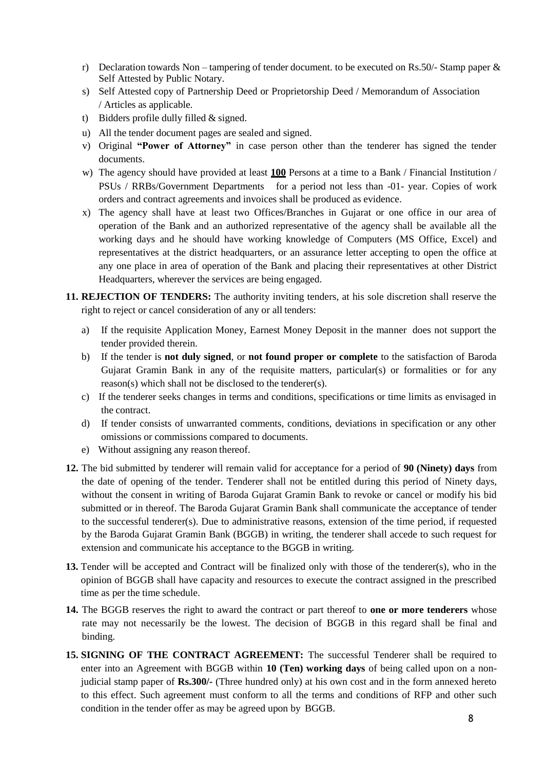- r) Declaration towards Non tampering of tender document, to be executed on Rs.50/- Stamp paper  $\&$ Self Attested by Public Notary.
- s) Self Attested copy of Partnership Deed or Proprietorship Deed / Memorandum of Association / Articles as applicable.
- t) Bidders profile dully filled & signed.
- u) All the tender document pages are sealed and signed.
- v) Original **"Power of Attorney"** in case person other than the tenderer has signed the tender documents.
- w) The agency should have provided at least **100** Persons at a time to a Bank / Financial Institution / PSUs / RRBs/Government Departments for a period not less than -01- year. Copies of work orders and contract agreements and invoices shall be produced as evidence.
- x) The agency shall have at least two Offices/Branches in Gujarat or one office in our area of operation of the Bank and an authorized representative of the agency shall be available all the working days and he should have working knowledge of Computers (MS Office, Excel) and representatives at the district headquarters, or an assurance letter accepting to open the office at any one place in area of operation of the Bank and placing their representatives at other District Headquarters, wherever the services are being engaged.
- **11. REJECTION OF TENDERS:** The authority inviting tenders, at his sole discretion shall reserve the right to reject or cancel consideration of any or all tenders:
	- a) If the requisite Application Money, Earnest Money Deposit in the manner does not support the tender provided therein.
	- b) If the tender is **not duly signed**, or **not found proper or complete** to the satisfaction of Baroda Gujarat Gramin Bank in any of the requisite matters, particular(s) or formalities or for any reason(s) which shall not be disclosed to the tenderer(s).
	- c) If the tenderer seeks changes in terms and conditions, specifications or time limits as envisaged in the contract.
	- d) If tender consists of unwarranted comments, conditions, deviations in specification or any other omissions or commissions compared to documents.
	- e) Without assigning any reason thereof.
- **12.** The bid submitted by tenderer will remain valid for acceptance for a period of **90 (Ninety) days** from the date of opening of the tender. Tenderer shall not be entitled during this period of Ninety days, without the consent in writing of Baroda Gujarat Gramin Bank to revoke or cancel or modify his bid submitted or in thereof. The Baroda Gujarat Gramin Bank shall communicate the acceptance of tender to the successful tenderer(s). Due to administrative reasons, extension of the time period, if requested by the Baroda Gujarat Gramin Bank (BGGB) in writing, the tenderer shall accede to such request for extension and communicate his acceptance to the BGGB in writing.
- **13.** Tender will be accepted and Contract will be finalized only with those of the tenderer(s), who in the opinion of BGGB shall have capacity and resources to execute the contract assigned in the prescribed time as per the time schedule.
- **14.** The BGGB reserves the right to award the contract or part thereof to **one or more tenderers** whose rate may not necessarily be the lowest. The decision of BGGB in this regard shall be final and binding.
- **15. SIGNING OF THE CONTRACT AGREEMENT:** The successful Tenderer shall be required to enter into an Agreement with BGGB within **10 (Ten) working days** of being called upon on a nonjudicial stamp paper of **Rs.300/-** (Three hundred only) at his own cost and in the form annexed hereto to this effect. Such agreement must conform to all the terms and conditions of RFP and other such condition in the tender offer as may be agreed upon by BGGB.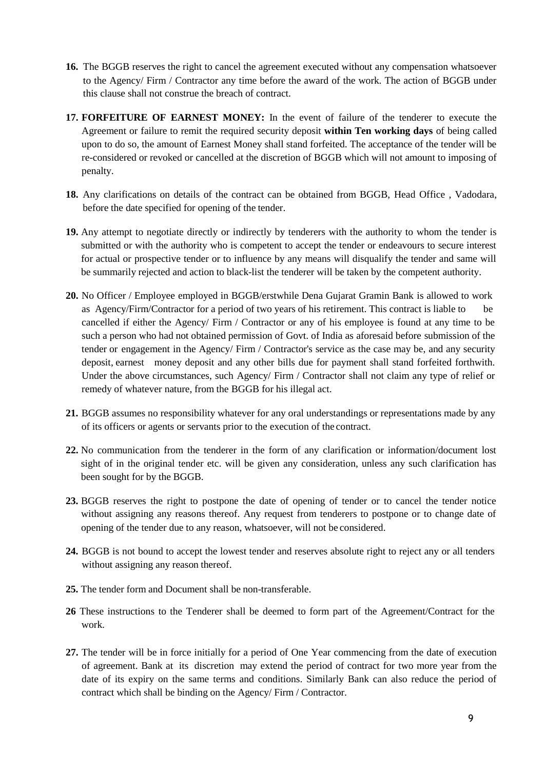- **16.** The BGGB reserves the right to cancel the agreement executed without any compensation whatsoever to the Agency/ Firm / Contractor any time before the award of the work. The action of BGGB under this clause shall not construe the breach of contract.
- **17. FORFEITURE OF EARNEST MONEY:** In the event of failure of the tenderer to execute the Agreement or failure to remit the required security deposit **within Ten working days** of being called upon to do so, the amount of Earnest Money shall stand forfeited. The acceptance of the tender will be re-considered or revoked or cancelled at the discretion of BGGB which will not amount to imposing of penalty.
- **18.** Any clarifications on details of the contract can be obtained from BGGB, Head Office , Vadodara, before the date specified for opening of the tender.
- **19.** Any attempt to negotiate directly or indirectly by tenderers with the authority to whom the tender is submitted or with the authority who is competent to accept the tender or endeavours to secure interest for actual or prospective tender or to influence by any means will disqualify the tender and same will be summarily rejected and action to black-list the tenderer will be taken by the competent authority.
- **20.** No Officer / Employee employed in BGGB/erstwhile Dena Gujarat Gramin Bank is allowed to work as Agency/Firm/Contractor for a period of two years of his retirement. This contract is liable to be cancelled if either the Agency/ Firm / Contractor or any of his employee is found at any time to be such a person who had not obtained permission of Govt. of India as aforesaid before submission of the tender or engagement in the Agency/ Firm / Contractor's service as the case may be, and any security deposit, earnest money deposit and any other bills due for payment shall stand forfeited forthwith. Under the above circumstances, such Agency/ Firm / Contractor shall not claim any type of relief or remedy of whatever nature, from the BGGB for his illegal act.
- **21.** BGGB assumes no responsibility whatever for any oral understandings or representations made by any of its officers or agents or servants prior to the execution of the contract.
- **22.** No communication from the tenderer in the form of any clarification or information/document lost sight of in the original tender etc. will be given any consideration, unless any such clarification has been sought for by the BGGB.
- **23.** BGGB reserves the right to postpone the date of opening of tender or to cancel the tender notice without assigning any reasons thereof. Any request from tenderers to postpone or to change date of opening of the tender due to any reason, whatsoever, will not be considered.
- **24.** BGGB is not bound to accept the lowest tender and reserves absolute right to reject any or all tenders without assigning any reason thereof.
- **25.** The tender form and Document shall be non-transferable.
- **26** These instructions to the Tenderer shall be deemed to form part of the Agreement/Contract for the work.
- **27.** The tender will be in force initially for a period of One Year commencing from the date of execution of agreement. Bank at its discretion may extend the period of contract for two more year from the date of its expiry on the same terms and conditions. Similarly Bank can also reduce the period of contract which shall be binding on the Agency/ Firm / Contractor.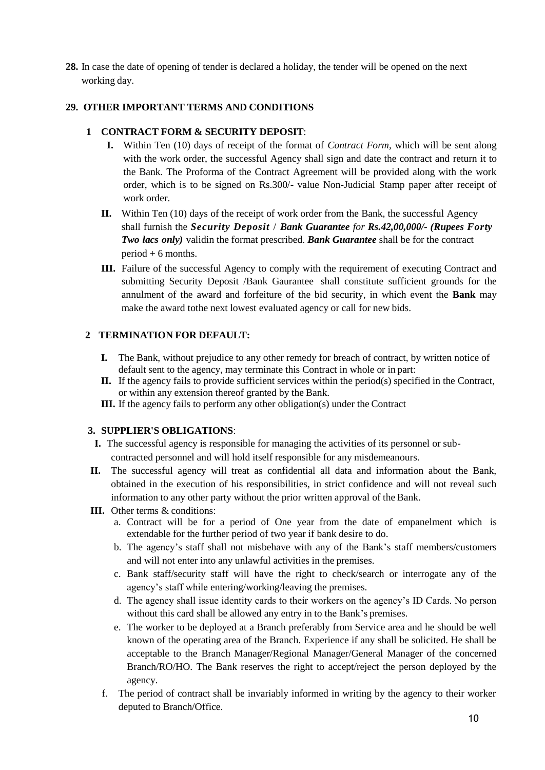**28.** In case the date of opening of tender is declared a holiday, the tender will be opened on the next working day.

# **29. OTHER IMPORTANT TERMS AND CONDITIONS**

# **1 CONTRACT FORM & SECURITY DEPOSIT**:

- **I.** Within Ten (10) days of receipt of the format of *Contract Form*, which will be sent along with the work order, the successful Agency shall sign and date the contract and return it to the Bank. The Proforma of the Contract Agreement will be provided along with the work order, which is to be signed on Rs.300/- value Non-Judicial Stamp paper after receipt of work order.
- **II.** Within Ten (10) days of the receipt of work order from the Bank, the successful Agency shall furnish the *Security Deposit* / *Bank Guarantee for Rs.42,00,000/- (Rupees Forty Two lacs only)* validin the format prescribed. *Bank Guarantee* shall be for the contract period + 6 months.
- **III.** Failure of the successful Agency to comply with the requirement of executing Contract and submitting Security Deposit /Bank Gaurantee shall constitute sufficient grounds for the annulment of the award and forfeiture of the bid security, in which event the **Bank** may make the award tothe next lowest evaluated agency or call for new bids.

# **2 TERMINATION FOR DEFAULT:**

- **I.** The Bank, without prejudice to any other remedy for breach of contract, by written notice of default sent to the agency, may terminate this Contract in whole or in part:
- **II.** If the agency fails to provide sufficient services within the period(s) specified in the Contract, or within any extension thereof granted by the Bank.
- **III.** If the agency fails to perform any other obligation(s) under the Contract

### **3. SUPPLIER'S OBLIGATIONS**:

- **I.** The successful agency is responsible for managing the activities of its personnel or subcontracted personnel and will hold itself responsible for any misdemeanours.
- **II.** The successful agency will treat as confidential all data and information about the Bank, obtained in the execution of his responsibilities, in strict confidence and will not reveal such information to any other party without the prior written approval of the Bank.
- **III.** Other terms & conditions:
	- a. Contract will be for a period of One year from the date of empanelment which is extendable for the further period of two year if bank desire to do.
	- b. The agency's staff shall not misbehave with any of the Bank's staff members/customers and will not enter into any unlawful activities in the premises.
	- c. Bank staff/security staff will have the right to check/search or interrogate any of the agency's staff while entering/working/leaving the premises.
	- d. The agency shall issue identity cards to their workers on the agency's ID Cards. No person without this card shall be allowed any entry in to the Bank's premises.
	- e. The worker to be deployed at a Branch preferably from Service area and he should be well known of the operating area of the Branch. Experience if any shall be solicited. He shall be acceptable to the Branch Manager/Regional Manager/General Manager of the concerned Branch/RO/HO. The Bank reserves the right to accept/reject the person deployed by the agency.
	- f. The period of contract shall be invariably informed in writing by the agency to their worker deputed to Branch/Office.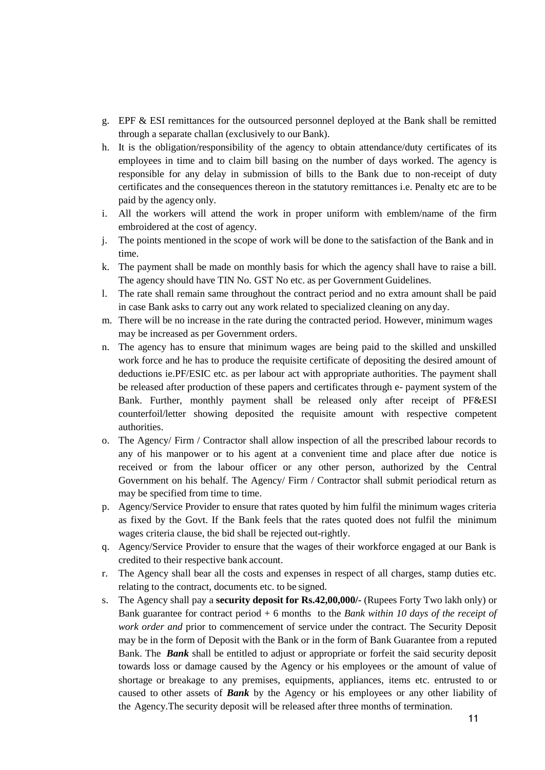- g. EPF & ESI remittances for the outsourced personnel deployed at the Bank shall be remitted through a separate challan (exclusively to our Bank).
- h. It is the obligation/responsibility of the agency to obtain attendance/duty certificates of its employees in time and to claim bill basing on the number of days worked. The agency is responsible for any delay in submission of bills to the Bank due to non-receipt of duty certificates and the consequences thereon in the statutory remittances i.e. Penalty etc are to be paid by the agency only.
- i. All the workers will attend the work in proper uniform with emblem/name of the firm embroidered at the cost of agency.
- j. The points mentioned in the scope of work will be done to the satisfaction of the Bank and in time.
- k. The payment shall be made on monthly basis for which the agency shall have to raise a bill. The agency should have TIN No. GST No etc. as per Government Guidelines.
- l. The rate shall remain same throughout the contract period and no extra amount shall be paid in case Bank asks to carry out any work related to specialized cleaning on anyday.
- m. There will be no increase in the rate during the contracted period. However, minimum wages may be increased as per Government orders.
- n. The agency has to ensure that minimum wages are being paid to the skilled and unskilled work force and he has to produce the requisite certificate of depositing the desired amount of deductions ie.PF/ESIC etc. as per labour act with appropriate authorities. The payment shall be released after production of these papers and certificates through e- payment system of the Bank. Further, monthly payment shall be released only after receipt of PF&ESI counterfoil/letter showing deposited the requisite amount with respective competent authorities.
- o. The Agency/ Firm / Contractor shall allow inspection of all the prescribed labour records to any of his manpower or to his agent at a convenient time and place after due notice is received or from the labour officer or any other person, authorized by the Central Government on his behalf. The Agency/ Firm / Contractor shall submit periodical return as may be specified from time to time.
- p. Agency/Service Provider to ensure that rates quoted by him fulfil the minimum wages criteria as fixed by the Govt. If the Bank feels that the rates quoted does not fulfil the minimum wages criteria clause, the bid shall be rejected out-rightly.
- q. Agency/Service Provider to ensure that the wages of their workforce engaged at our Bank is credited to their respective bank account.
- r. The Agency shall bear all the costs and expenses in respect of all charges, stamp duties etc. relating to the contract, documents etc. to be signed.
- s. The Agency shall pay a **security deposit for Rs.42,00,000/-** (Rupees Forty Two lakh only) or Bank guarantee for contract period + 6 months to the *Bank within 10 days of the receipt of work order and* prior to commencement of service under the contract. The Security Deposit may be in the form of Deposit with the Bank or in the form of Bank Guarantee from a reputed Bank. The *Bank* shall be entitled to adjust or appropriate or forfeit the said security deposit towards loss or damage caused by the Agency or his employees or the amount of value of shortage or breakage to any premises, equipments, appliances, items etc. entrusted to or caused to other assets of *Bank* by the Agency or his employees or any other liability of the Agency.The security deposit will be released after three months of termination.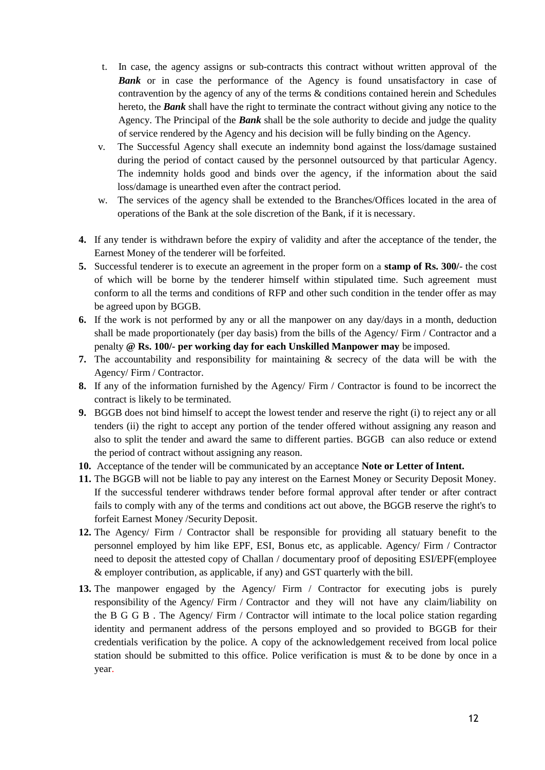- t. In case, the agency assigns or sub-contracts this contract without written approval of the **Bank** or in case the performance of the Agency is found unsatisfactory in case of contravention by the agency of any of the terms & conditions contained herein and Schedules hereto, the *Bank* shall have the right to terminate the contract without giving any notice to the Agency. The Principal of the *Bank* shall be the sole authority to decide and judge the quality of service rendered by the Agency and his decision will be fully binding on the Agency.
- v. The Successful Agency shall execute an indemnity bond against the loss/damage sustained during the period of contact caused by the personnel outsourced by that particular Agency. The indemnity holds good and binds over the agency, if the information about the said loss/damage is unearthed even after the contract period.
- w. The services of the agency shall be extended to the Branches/Offices located in the area of operations of the Bank at the sole discretion of the Bank, if it is necessary.
- **4.** If any tender is withdrawn before the expiry of validity and after the acceptance of the tender, the Earnest Money of the tenderer will be forfeited.
- **5.** Successful tenderer is to execute an agreement in the proper form on a **stamp of Rs. 300/** the cost of which will be borne by the tenderer himself within stipulated time. Such agreement must conform to all the terms and conditions of RFP and other such condition in the tender offer as may be agreed upon by BGGB.
- **6.** If the work is not performed by any or all the manpower on any day/days in a month, deduction shall be made proportionately (per day basis) from the bills of the Agency/ Firm / Contractor and a penalty **@ Rs. 100/- per working day for each Unskilled Manpower may** be imposed.
- **7.** The accountability and responsibility for maintaining & secrecy of the data will be with the Agency/ Firm / Contractor.
- **8.** If any of the information furnished by the Agency/ Firm / Contractor is found to be incorrect the contract is likely to be terminated.
- **9.** BGGB does not bind himself to accept the lowest tender and reserve the right (i) to reject any or all tenders (ii) the right to accept any portion of the tender offered without assigning any reason and also to split the tender and award the same to different parties. BGGB can also reduce or extend the period of contract without assigning any reason.
- **10.** Acceptance of the tender will be communicated by an acceptance **Note or Letter of Intent.**
- 11. The BGGB will not be liable to pay any interest on the Earnest Money or Security Deposit Money. If the successful tenderer withdraws tender before formal approval after tender or after contract fails to comply with any of the terms and conditions act out above, the BGGB reserve the right's to forfeit Earnest Money /Security Deposit.
- **12.** The Agency/ Firm / Contractor shall be responsible for providing all statuary benefit to the personnel employed by him like EPF, ESI, Bonus etc, as applicable. Agency/ Firm / Contractor need to deposit the attested copy of Challan / documentary proof of depositing ESI/EPF(employee & employer contribution, as applicable, if any) and GST quarterly with the bill.
- **13.** The manpower engaged by the Agency/ Firm / Contractor for executing jobs is purely responsibility of the Agency/ Firm / Contractor and they will not have any claim/liability on the B G G B . The Agency/ Firm / Contractor will intimate to the local police station regarding identity and permanent address of the persons employed and so provided to BGGB for their credentials verification by the police. A copy of the acknowledgement received from local police station should be submitted to this office. Police verification is must  $\&$  to be done by once in a year.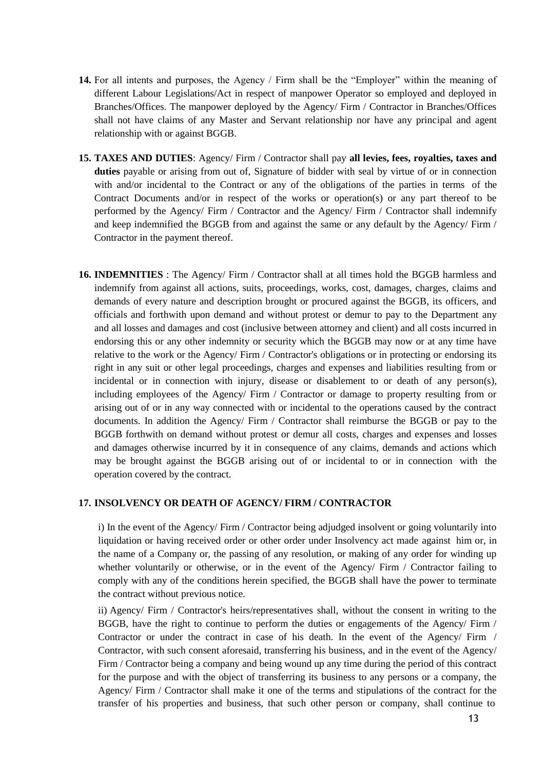- **14.** For all intents and purposes, the Agency / Firm shall be the "Employer" within the meaning of different Labour Legislations/Act in respect of manpower Operator so employed and deployed in Branches/Offices. The manpower deployed by the Agency/ Firm / Contractor in Branches/Offices shall not have claims of any Master and Servant relationship nor have any principal and agent relationship with or against BGGB.
- **15. TAXES AND DUTIES**: Agency/ Firm / Contractor shall pay **all levies, fees, royalties, taxes and duties** payable or arising from out of, Signature of bidder with seal by virtue of or in connection with and/or incidental to the Contract or any of the obligations of the parties in terms of the Contract Documents and/or in respect of the works or operation(s) or any part thereof to be performed by the Agency/ Firm / Contractor and the Agency/ Firm / Contractor shall indemnify and keep indemnified the BGGB from and against the same or any default by the Agency/ Firm / Contractor in the payment thereof.
- **16. INDEMNITIES** : The Agency/ Firm / Contractor shall at all times hold the BGGB harmless and indemnify from against all actions, suits, proceedings, works, cost, damages, charges, claims and demands of every nature and description brought or procured against the BGGB, its officers, and officials and forthwith upon demand and without protest or demur to pay to the Department any and all losses and damages and cost (inclusive between attorney and client) and all costs incurred in endorsing this or any other indemnity or security which the BGGB may now or at any time have relative to the work or the Agency/ Firm / Contractor's obligations or in protecting or endorsing its right in any suit or other legal proceedings, charges and expenses and liabilities resulting from or incidental or in connection with injury, disease or disablement to or death of any person(s), including employees of the Agency/ Firm / Contractor or damage to property resulting from or arising out of or in any way connected with or incidental to the operations caused by the contract documents. In addition the Agency/ Firm / Contractor shall reimburse the BGGB or pay to the BGGB forthwith on demand without protest or demur all costs, charges and expenses and losses and damages otherwise incurred by it in consequence of any claims, demands and actions which may be brought against the BGGB arising out of or incidental to or in connection with the operation covered by the contract.

#### **17. INSOLVENCY OR DEATH OF AGENCY/ FIRM / CONTRACTOR**

i) In the event of the Agency/ Firm / Contractor being adjudged insolvent or going voluntarily into liquidation or having received order or other order under Insolvency act made against him or, in the name of a Company or, the passing of any resolution, or making of any order for winding up whether voluntarily or otherwise, or in the event of the Agency/ Firm / Contractor failing to comply with any of the conditions herein specified, the BGGB shall have the power to terminate the contract without previous notice.

ii) Agency/ Firm / Contractor's heirs/representatives shall, without the consent in writing to the BGGB, have the right to continue to perform the duties or engagements of the Agency/ Firm / Contractor or under the contract in case of his death. In the event of the Agency/ Firm / Contractor, with such consent aforesaid, transferring his business, and in the event of the Agency/ Firm / Contractor being a company and being wound up any time during the period of this contract for the purpose and with the object of transferring its business to any persons or a company, the Agency/ Firm / Contractor shall make it one of the terms and stipulations of the contract for the transfer of his properties and business, that such other person or company, shall continue to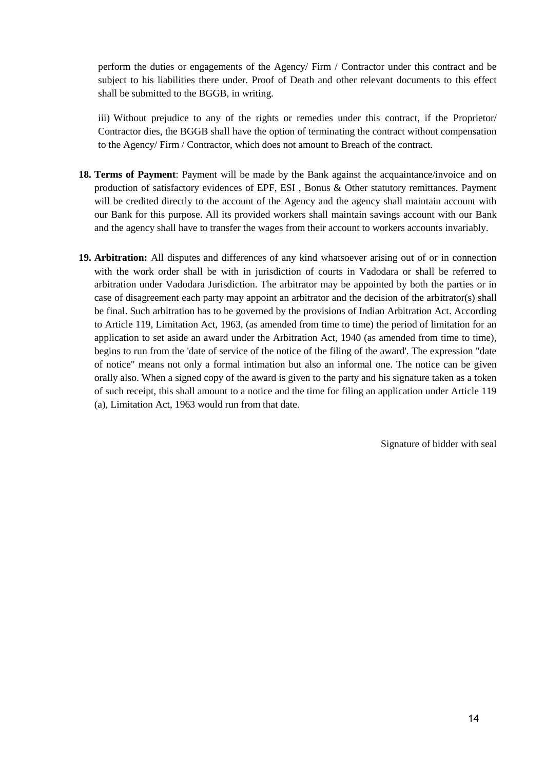perform the duties or engagements of the Agency/ Firm / Contractor under this contract and be subject to his liabilities there under. Proof of Death and other relevant documents to this effect shall be submitted to the BGGB, in writing.

iii) Without prejudice to any of the rights or remedies under this contract, if the Proprietor/ Contractor dies, the BGGB shall have the option of terminating the contract without compensation to the Agency/ Firm / Contractor, which does not amount to Breach of the contract.

- **18. Terms of Payment**: Payment will be made by the Bank against the acquaintance/invoice and on production of satisfactory evidences of EPF, ESI , Bonus & Other statutory remittances. Payment will be credited directly to the account of the Agency and the agency shall maintain account with our Bank for this purpose. All its provided workers shall maintain savings account with our Bank and the agency shall have to transfer the wages from their account to workers accounts invariably.
- **19. Arbitration:** All disputes and differences of any kind whatsoever arising out of or in connection with the work order shall be with in jurisdiction of courts in Vadodara or shall be referred to arbitration under Vadodara Jurisdiction. The arbitrator may be appointed by both the parties or in case of disagreement each party may appoint an arbitrator and the decision of the arbitrator(s) shall be final. Such arbitration has to be governed by the provisions of Indian Arbitration Act. According to Article 119, Limitation Act, 1963, (as amended from time to time) the period of limitation for an application to set aside an award under the Arbitration Act, 1940 (as amended from time to time), begins to run from the 'date of service of the notice of the filing of the award'. The expression "date of notice" means not only a formal intimation but also an informal one. The notice can be given orally also. When a signed copy of the award is given to the party and his signature taken as a token of such receipt, this shall amount to a notice and the time for filing an application under Article 119 (a), Limitation Act, 1963 would run from that date.

Signature of bidder with seal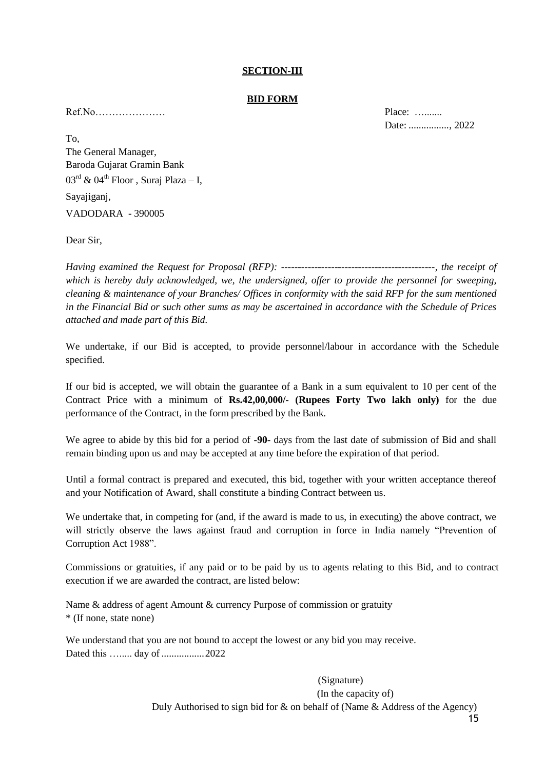#### **SECTION-III**

#### **BID FORM**

Ref.No………………… Place: ….......

Date: ................, 2022

To, The General Manager, Baroda Gujarat Gramin Bank  $03^{\text{rd}}$  &  $04^{\text{th}}$  Floor, Suraj Plaza – I, Sayajiganj, VADODARA - 390005

Dear Sir,

*Having examined the Request for Proposal (RFP): ----------------------------------------------, the receipt of which is hereby duly acknowledged, we, the undersigned, offer to provide the personnel for sweeping, cleaning & maintenance of your Branches/ Offices in conformity with the said RFP for the sum mentioned in the Financial Bid or such other sums as may be ascertained in accordance with the Schedule of Prices attached and made part of this Bid.*

We undertake, if our Bid is accepted, to provide personnel/labour in accordance with the Schedule specified.

If our bid is accepted, we will obtain the guarantee of a Bank in a sum equivalent to 10 per cent of the Contract Price with a minimum of **Rs.42,00,000/- (Rupees Forty Two lakh only)** for the due performance of the Contract, in the form prescribed by the Bank.

We agree to abide by this bid for a period of **-90-** days from the last date of submission of Bid and shall remain binding upon us and may be accepted at any time before the expiration of that period.

Until a formal contract is prepared and executed, this bid, together with your written acceptance thereof and your Notification of Award, shall constitute a binding Contract between us.

We undertake that, in competing for (and, if the award is made to us, in executing) the above contract, we will strictly observe the laws against fraud and corruption in force in India namely "Prevention of Corruption Act 1988".

Commissions or gratuities, if any paid or to be paid by us to agents relating to this Bid, and to contract execution if we are awarded the contract, are listed below:

Name & address of agent Amount & currency Purpose of commission or gratuity \* (If none, state none)

We understand that you are not bound to accept the lowest or any bid you may receive. Dated this …..... day of .................2022

> 15 (Signature) (In the capacity of) Duly Authorised to sign bid for & on behalf of (Name & Address of the Agency)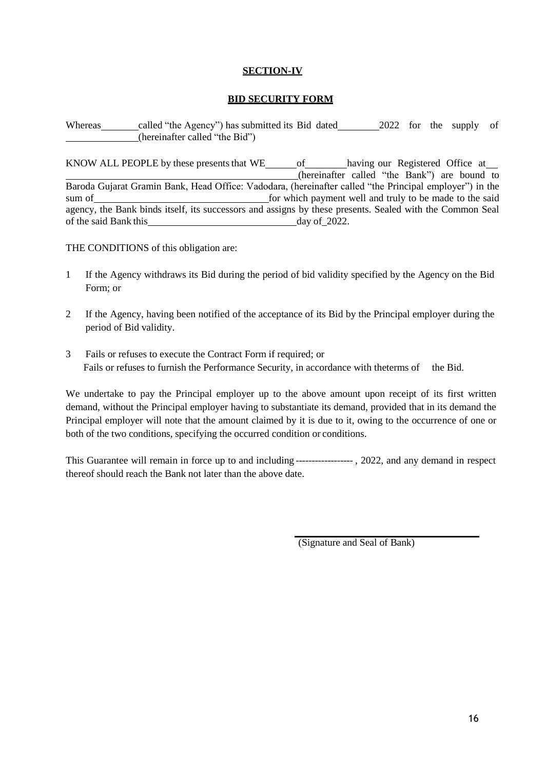### **SECTION-IV**

#### **BID SECURITY FORM**

Whereas called "the Agency") has submitted its Bid dated 2022 for the supply of (hereinafter called "the Bid")

KNOW ALL PEOPLE by these presents that WE of having our Registered Office at (hereinafter called "the Bank") are bound to Baroda Gujarat Gramin Bank, Head Office: Vadodara, (hereinafter called "the Principal employer") in the sum of for which payment well and truly to be made to the said agency, the Bank binds itself, its successors and assigns by these presents. Sealed with the Common Seal of the said Bank this day of 2022.

THE CONDITIONS of this obligation are:

- 1 If the Agency withdraws its Bid during the period of bid validity specified by the Agency on the Bid Form; or
- 2 If the Agency, having been notified of the acceptance of its Bid by the Principal employer during the period of Bid validity.
- 3 Fails or refuses to execute the Contract Form if required; or Fails or refuses to furnish the Performance Security, in accordance with theterms of the Bid.

We undertake to pay the Principal employer up to the above amount upon receipt of its first written demand, without the Principal employer having to substantiate its demand, provided that in its demand the Principal employer will note that the amount claimed by it is due to it, owing to the occurrence of one or both of the two conditions, specifying the occurred condition or conditions.

This Guarantee will remain in force up to and including ------------------ , 2022, and any demand in respect thereof should reach the Bank not later than the above date.

(Signature and Seal of Bank)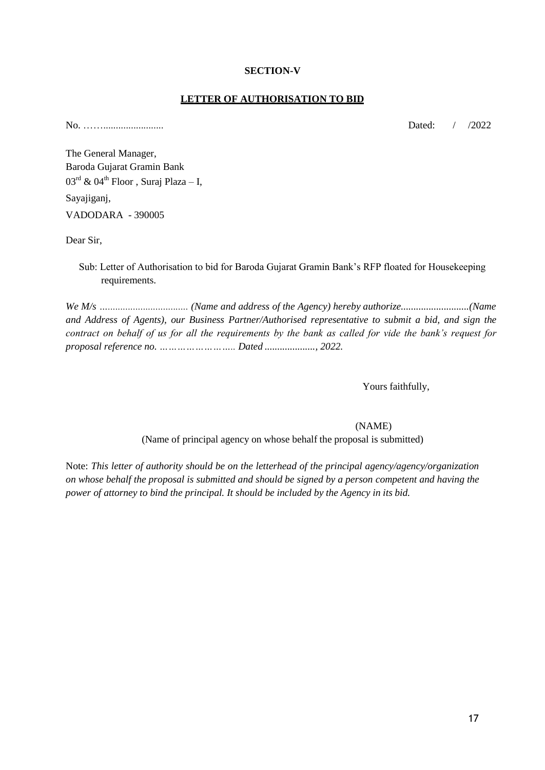#### **SECTION-V**

#### **LETTER OF AUTHORISATION TO BID**

No. ……........................ Dated: / /2022

The General Manager, Baroda Gujarat Gramin Bank  $03^{\text{rd}}$  &  $04^{\text{th}}$  Floor, Suraj Plaza – I, Sayajiganj, VADODARA - 390005

Dear Sir,

Sub: Letter of Authorisation to bid for Baroda Gujarat Gramin Bank's RFP floated for Housekeeping requirements.

*We M/s …................................ (Name and address of the Agency) hereby authorize...........................(Name and Address of Agents), our Business Partner/Authorised representative to submit a bid, and sign the contract on behalf of us for all the requirements by the bank as called for vide the bank's request for proposal reference no. …………………….. Dated ...................., 2022.*

Yours faithfully,

(NAME)

(Name of principal agency on whose behalf the proposal is submitted)

Note: *This letter of authority should be on the letterhead of the principal agency/agency/organization on whose behalf the proposal is submitted and should be signed by a person competent and having the power of attorney to bind the principal. It should be included by the Agency in its bid.*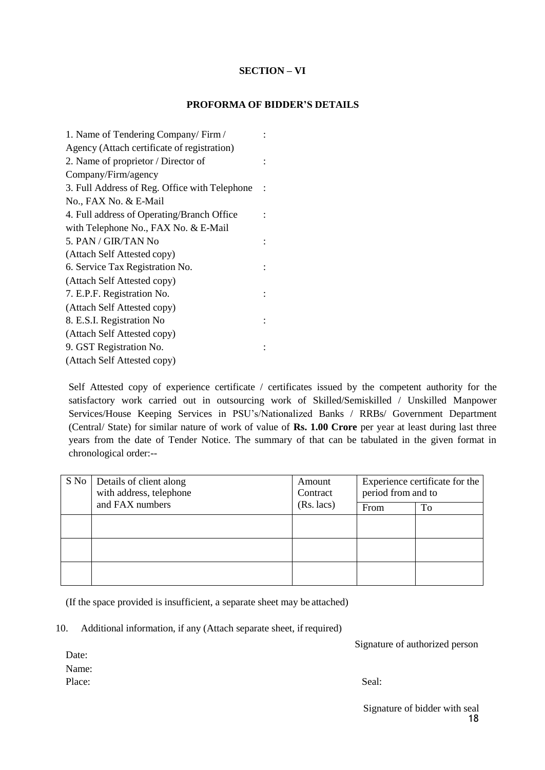# **SECTION – VI**

### **PROFORMA OF BIDDER'S DETAILS**

| 1. Name of Tendering Company/Firm/            |  |
|-----------------------------------------------|--|
| Agency (Attach certificate of registration)   |  |
| 2. Name of proprietor / Director of           |  |
| Company/Firm/agency                           |  |
| 3. Full Address of Reg. Office with Telephone |  |
| No., FAX No. & E-Mail                         |  |
| 4. Full address of Operating/Branch Office    |  |
| with Telephone No., FAX No. & E-Mail          |  |
| 5. PAN / GIR/TAN No                           |  |
| (Attach Self Attested copy)                   |  |
| 6. Service Tax Registration No.               |  |
| (Attach Self Attested copy)                   |  |
| 7. E.P.F. Registration No.                    |  |
| (Attach Self Attested copy)                   |  |
| 8. E.S.I. Registration No                     |  |
| (Attach Self Attested copy)                   |  |
| 9. GST Registration No.                       |  |
| (Attach Self Attested copy)                   |  |

Self Attested copy of experience certificate / certificates issued by the competent authority for the satisfactory work carried out in outsourcing work of Skilled/Semiskilled / Unskilled Manpower Services/House Keeping Services in PSU's/Nationalized Banks / RRBs/ Government Department (Central/ State) for similar nature of work of value of **Rs. 1.00 Crore** per year at least during last three years from the date of Tender Notice. The summary of that can be tabulated in the given format in chronological order:--

| S No   Details of client along<br>with address, telephone | Amount<br>Contract | Experience certificate for the<br>period from and to |    |  |
|-----------------------------------------------------------|--------------------|------------------------------------------------------|----|--|
| and FAX numbers                                           | $(Rs.$ lacs $)$    | From                                                 | To |  |
|                                                           |                    |                                                      |    |  |
|                                                           |                    |                                                      |    |  |
|                                                           |                    |                                                      |    |  |

(If the space provided is insufficient, a separate sheet may be attached)

#### 10. Additional information, if any (Attach separate sheet, if required)

Signature of authorized person

Date: Name: Place: Seal: Seal: Seal: Seal: Seal: Seal: Seal: Seal: Seal: Seal: Seal: Seal: Seal: Seal: Seal: Seal: Seal: Seal: Seal: Seal: Seal: Seal: Seal: Seal: Seal: Seal: Seal: Seal: Seal: Seal: Seal: Seal: Seal: Seal: Seal: Seal: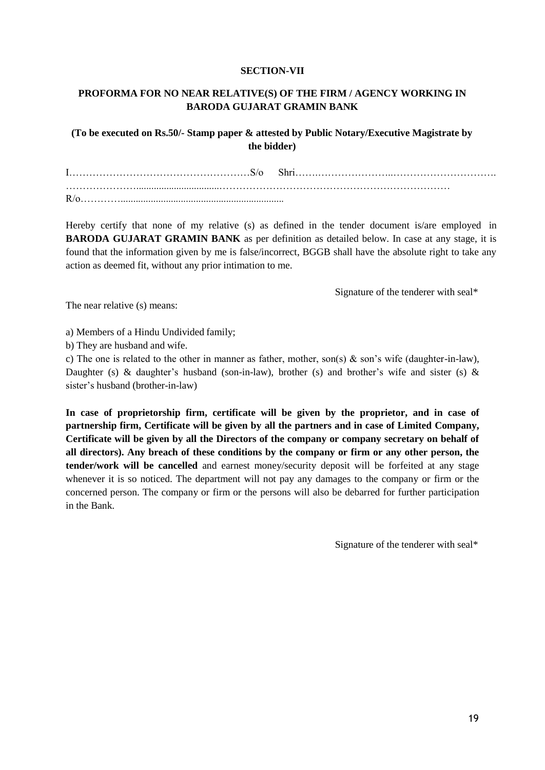#### **SECTION-VII**

# **PROFORMA FOR NO NEAR RELATIVE(S) OF THE FIRM / AGENCY WORKING IN BARODA GUJARAT GRAMIN BANK**

# **(To be executed on Rs.50/- Stamp paper & attested by Public Notary/Executive Magistrate by the bidder)**

| $R/\alpha$ |  |  |
|------------|--|--|

Hereby certify that none of my relative (s) as defined in the tender document is/are employed in **BARODA GUJARAT GRAMIN BANK** as per definition as detailed below. In case at any stage, it is found that the information given by me is false/incorrect, BGGB shall have the absolute right to take any action as deemed fit, without any prior intimation to me.

Signature of the tenderer with seal\*

The near relative (s) means:

a) Members of a Hindu Undivided family;

b) They are husband and wife.

c) The one is related to the other in manner as father, mother, son(s) & son's wife (daughter-in-law), Daughter (s) & daughter's husband (son-in-law), brother (s) and brother's wife and sister (s) & sister's husband (brother-in-law)

**In case of proprietorship firm, certificate will be given by the proprietor, and in case of partnership firm, Certificate will be given by all the partners and in case of Limited Company, Certificate will be given by all the Directors of the company or company secretary on behalf of all directors). Any breach of these conditions by the company or firm or any other person, the tender/work will be cancelled** and earnest money/security deposit will be forfeited at any stage whenever it is so noticed. The department will not pay any damages to the company or firm or the concerned person. The company or firm or the persons will also be debarred for further participation in the Bank.

Signature of the tenderer with seal\*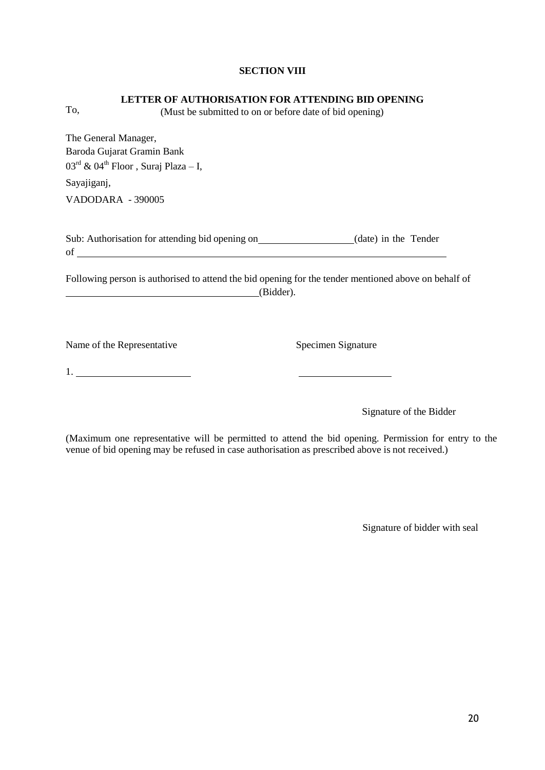#### **SECTION VIII**

#### **LETTER OF AUTHORISATION FOR ATTENDING BID OPENING**

(Must be submitted to on or before date of bid opening)

The General Manager, Baroda Gujarat Gramin Bank  $03^{\text{rd}}$  &  $04^{\text{th}}$  Floor, Suraj Plaza – I,

Sayajiganj,

To,

VADODARA - 390005

| Sub: Authorisation for attending bid opening on | (date) in the Tender |
|-------------------------------------------------|----------------------|
| of                                              |                      |

Following person is authorised to attend the bid opening for the tender mentioned above on behalf of (Bidder).

Name of the Representative Specimen Signature

1.

Signature of the Bidder

(Maximum one representative will be permitted to attend the bid opening. Permission for entry to the venue of bid opening may be refused in case authorisation as prescribed above is not received.)

Signature of bidder with seal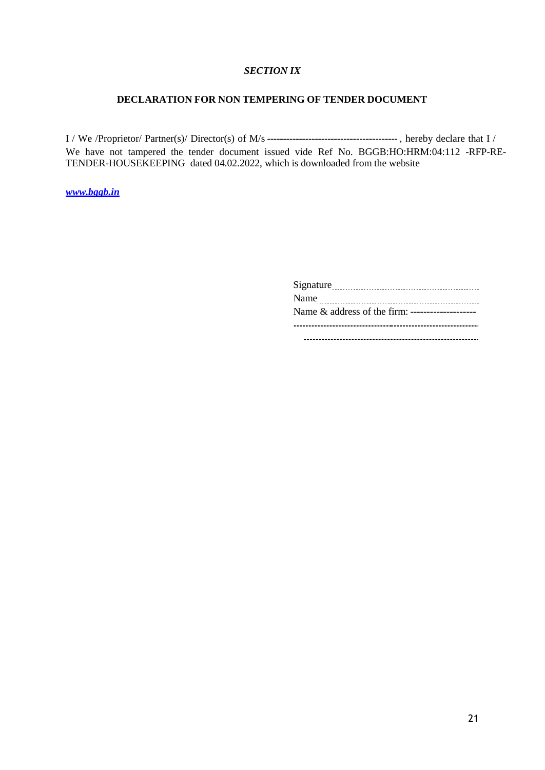# *SECTION IX*

# **DECLARATION FOR NON TEMPERING OF TENDER DOCUMENT**

I / We /Proprietor/ Partner(s)/ Director(s) of M/s ----------------------------------------- , hereby declare that I / We have not tampered the tender document issued vide Ref No. BGGB:HO:HRM:04:112 -RFP-RE-TENDER-HOUSEKEEPING dated 04.02.2022, which is downloaded from the website

*[www.bggb.in](http://www.bggb.in/)*

| Name & address of the firm: -------------------- |  |
|--------------------------------------------------|--|
|                                                  |  |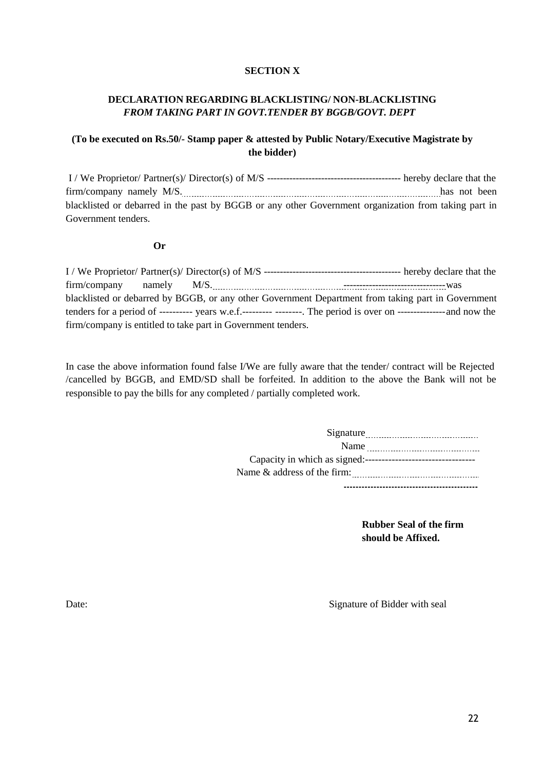### **SECTION X**

# **DECLARATION REGARDING BLACKLISTING/ NON-BLACKLISTING** *FROM TAKING PART IN GOVT.TENDER BY BGGB/GOVT. DEPT*

# **(To be executed on Rs.50/- Stamp paper & attested by Public Notary/Executive Magistrate by the bidder)**

I / We Proprietor/ Partner(s)/ Director(s) of M/S ------------------------------------------ hereby declare that the firm/company namely M/S. 1997. 1997. The entry of the state of the state of the state of the state of the state of the state of the state of the state of the state of the state of the state of the state of the state of the blacklisted or debarred in the past by BGGB or any other Government organization from taking part in Government tenders.

#### **Or**

I / We Proprietor/ Partner(s)/ Director(s) of M/S ------------------------------------------- hereby declare that the firm/company namely M/S. --------------------------------was blacklisted or debarred by BGGB, or any other Government Department from taking part in Government tenders for a period of ---------- years w.e.f.--------- --------. The period is over on ---------------and now the firm/company is entitled to take part in Government tenders.

In case the above information found false I/We are fully aware that the tender/ contract will be Rejected /cancelled by BGGB, and EMD/SD shall be forfeited. In addition to the above the Bank will not be responsible to pay the bills for any completed / partially completed work.

| Signature |
|-----------|
| Name      |
|           |
|           |
|           |

**Rubber Seal of the firm should be Affixed.**

Date: Signature of Bidder with seal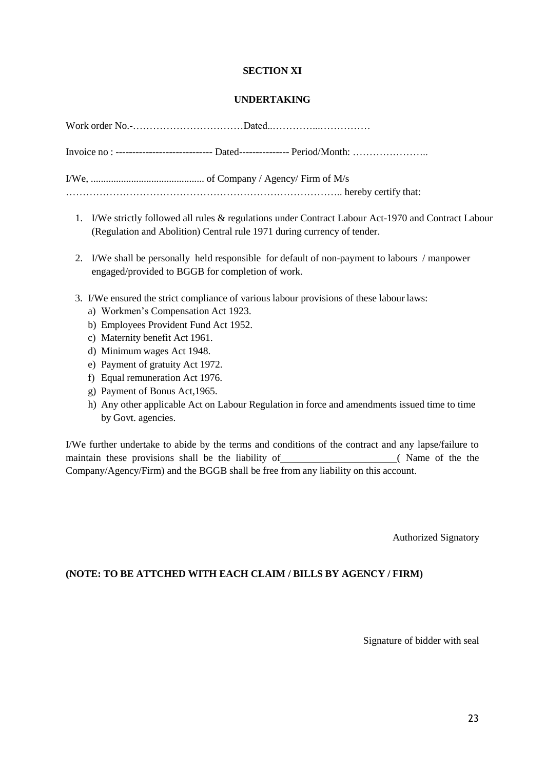### **SECTION XI**

#### **UNDERTAKING**

| Invoice no: ------------------------------ Dated---------------- Period/Month: |
|--------------------------------------------------------------------------------|
|                                                                                |
|                                                                                |

- 1. I/We strictly followed all rules & regulations under Contract Labour Act-1970 and Contract Labour (Regulation and Abolition) Central rule 1971 during currency of tender.
- 2. I/We shall be personally held responsible for default of non-payment to labours / manpower engaged/provided to BGGB for completion of work.
- 3. I/We ensured the strict compliance of various labour provisions of these labour laws:
	- a) Workmen's Compensation Act 1923.
	- b) Employees Provident Fund Act 1952.
	- c) Maternity benefit Act 1961.
	- d) Minimum wages Act 1948.
	- e) Payment of gratuity Act 1972.
	- f) Equal remuneration Act 1976.
	- g) Payment of Bonus Act,1965.
	- h) Any other applicable Act on Labour Regulation in force and amendments issued time to time by Govt. agencies.

I/We further undertake to abide by the terms and conditions of the contract and any lapse/failure to maintain these provisions shall be the liability of (Name of the the the Company/Agency/Firm) and the BGGB shall be free from any liability on this account.

Authorized Signatory

# **(NOTE: TO BE ATTCHED WITH EACH CLAIM / BILLS BY AGENCY / FIRM)**

Signature of bidder with seal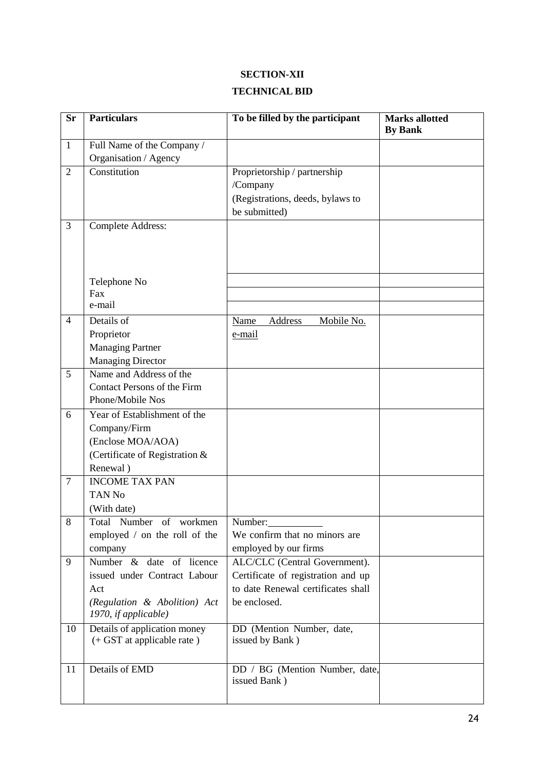# **SECTION-XII TECHNICAL BID**

| <b>Sr</b>      | <b>Particulars</b>                                  | To be filled by the participant                | <b>Marks allotted</b><br><b>By Bank</b> |
|----------------|-----------------------------------------------------|------------------------------------------------|-----------------------------------------|
| $\mathbf{1}$   | Full Name of the Company /                          |                                                |                                         |
|                | Organisation / Agency                               |                                                |                                         |
| $\overline{2}$ | Constitution                                        | Proprietorship / partnership                   |                                         |
|                |                                                     | /Company                                       |                                         |
|                |                                                     | (Registrations, deeds, bylaws to               |                                         |
|                |                                                     | be submitted)                                  |                                         |
| 3              | <b>Complete Address:</b>                            |                                                |                                         |
|                |                                                     |                                                |                                         |
|                |                                                     |                                                |                                         |
|                |                                                     |                                                |                                         |
|                | Telephone No                                        |                                                |                                         |
|                | Fax                                                 |                                                |                                         |
|                | e-mail                                              |                                                |                                         |
| $\overline{4}$ | Details of                                          | Address<br>Mobile No.<br>Name                  |                                         |
|                | Proprietor                                          | e-mail                                         |                                         |
|                | <b>Managing Partner</b>                             |                                                |                                         |
| 5              | <b>Managing Director</b><br>Name and Address of the |                                                |                                         |
|                | Contact Persons of the Firm                         |                                                |                                         |
|                | Phone/Mobile Nos                                    |                                                |                                         |
| 6              | Year of Establishment of the                        |                                                |                                         |
|                | Company/Firm                                        |                                                |                                         |
|                | (Enclose MOA/AOA)                                   |                                                |                                         |
|                | (Certificate of Registration &                      |                                                |                                         |
|                | Renewal)                                            |                                                |                                         |
| $\tau$         | <b>INCOME TAX PAN</b>                               |                                                |                                         |
|                | <b>TAN No</b>                                       |                                                |                                         |
|                | (With date)                                         |                                                |                                         |
| $8\,$          | Total Number of workmen                             | Number:                                        |                                         |
|                | employed / on the roll of the                       | We confirm that no minors are                  |                                         |
|                | company                                             | employed by our firms                          |                                         |
| 9              | Number & date of licence                            | ALC/CLC (Central Government).                  |                                         |
|                | issued under Contract Labour                        | Certificate of registration and up             |                                         |
|                | Act                                                 | to date Renewal certificates shall             |                                         |
|                | (Regulation & Abolition) Act                        | be enclosed.                                   |                                         |
|                | 1970, if applicable)                                |                                                |                                         |
| 10             | Details of application money                        | DD (Mention Number, date,                      |                                         |
|                | (+ GST at applicable rate)                          | issued by Bank)                                |                                         |
|                |                                                     |                                                |                                         |
| 11             | Details of EMD                                      | DD / BG (Mention Number, date,<br>issued Bank) |                                         |
|                |                                                     |                                                |                                         |
|                |                                                     |                                                |                                         |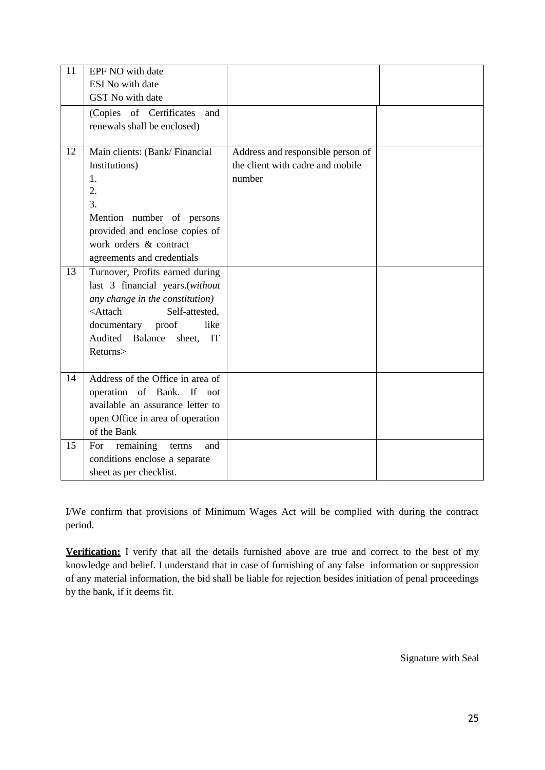| 11 | EPF NO with date<br>ESI No with date<br>GST No with date<br>(Copies of Certificates<br>and                                                                                                                                          |                                                                                 |  |
|----|-------------------------------------------------------------------------------------------------------------------------------------------------------------------------------------------------------------------------------------|---------------------------------------------------------------------------------|--|
|    | renewals shall be enclosed)                                                                                                                                                                                                         |                                                                                 |  |
| 12 | Main clients: (Bank/Financial<br>Institutions)<br>1.<br>2.<br>3.<br>Mention number of persons<br>provided and enclose copies of<br>work orders & contract<br>agreements and credentials                                             | Address and responsible person of<br>the client with cadre and mobile<br>number |  |
| 13 | Turnover, Profits earned during<br>last 3 financial years.(without<br>any change in the constitution)<br><attach<br>Self-attested,<br/>documentary proof<br/>like<br/>Audited Balance<br/>sheet,<br/>IT<br/>Returns&gt;</attach<br> |                                                                                 |  |
| 14 | Address of the Office in area of<br>operation of Bank. If not<br>available an assurance letter to<br>open Office in area of operation<br>of the Bank                                                                                |                                                                                 |  |
| 15 | For<br>remaining<br>and<br>terms<br>conditions enclose a separate<br>sheet as per checklist.                                                                                                                                        |                                                                                 |  |

I/We confirm that provisions of Minimum Wages Act will be complied with during the contract period.

**Verification:** I verify that all the details furnished above are true and correct to the best of my knowledge and belief. I understand that in case of furnishing of any false information or suppression of any material information, the bid shall be liable for rejection besides initiation of penal proceedings by the bank, if it deems fit.

Signature with Seal